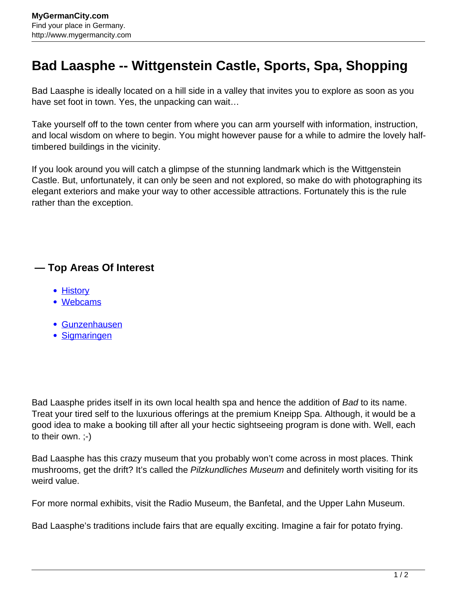## **Bad Laasphe -- Wittgenstein Castle, Sports, Spa, Shopping**

Bad Laasphe is ideally located on a hill side in a valley that invites you to explore as soon as you have set foot in town. Yes, the unpacking can wait…

Take yourself off to the town center from where you can arm yourself with information, instruction, and local wisdom on where to begin. You might however pause for a while to admire the lovely halftimbered buildings in the vicinity.

If you look around you will catch a glimpse of the stunning landmark which is the Wittgenstein Castle. But, unfortunately, it can only be seen and not explored, so make do with photographing its elegant exteriors and make your way to other accessible attractions. Fortunately this is the rule rather than the exception.

## **— Top Areas Of Interest**

- [History](http://www.mygermancity.com/leipzig-history)
- [Webcams](http://www.mygermancity.com/neustadt-holstein-webcams)
- [Gunzenhausen](http://www.mygermancity.com/gunzenhausen)
- [Sigmaringen](http://www.mygermancity.com/sigmaringen)

Bad Laasphe prides itself in its own local health spa and hence the addition of Bad to its name. Treat your tired self to the luxurious offerings at the premium Kneipp Spa. Although, it would be a good idea to make a booking till after all your hectic sightseeing program is done with. Well, each to their own. ;-)

Bad Laasphe has this crazy museum that you probably won't come across in most places. Think mushrooms, get the drift? It's called the Pilzkundliches Museum and definitely worth visiting for its weird value.

For more normal exhibits, visit the Radio Museum, the Banfetal, and the Upper Lahn Museum.

Bad Laasphe's traditions include fairs that are equally exciting. Imagine a fair for potato frying.